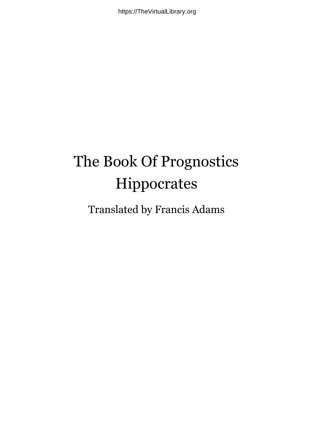## The Book Of Prognostics Hippocrates

## Translated by Francis Adams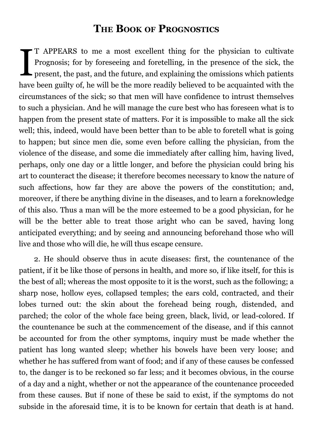## **THE BOOK OF PROGNOSTICS**

 $\left[\begin{matrix} 1 \ 1 \ 0 \end{matrix}\right]$ T APPEARS to me a most excellent thing for the physician to cultivate Prognosis; for by foreseeing and foretelling, in the presence of the sick, the present, the past, and the future, and explaining the omissions which patients have been guilty of, he will be the more readily believed to be acquainted with the circumstances of the sick; so that men will have confidence to intrust themselves to such a physician. And he will manage the cure best who has foreseen what is to happen from the present state of matters. For it is impossible to make all the sick well; this, indeed, would have been better than to be able to foretell what is going to happen; but since men die, some even before calling the physician, from the violence of the disease, and some die immediately after calling him, having lived, perhaps, only one day or a little longer, and before the physician could bring his art to counteract the disease; it therefore becomes necessary to know the nature of such affections, how far they are above the powers of the constitution; and, moreover, if there be anything divine in the diseases, and to learn a foreknowledge of this also. Thus a man will be the more esteemed to be a good physician, for he will be the better able to treat those aright who can be saved, having long anticipated everything; and by seeing and announcing beforehand those who will live and those who will die, he will thus escape censure.

2. He should observe thus in acute diseases: first, the countenance of the patient, if it be like those of persons in health, and more so, if like itself, for this is the best of all; whereas the most opposite to it is the worst, such as the following; a sharp nose, hollow eyes, collapsed temples; the ears cold, contracted, and their lobes turned out: the skin about the forehead being rough, distended, and parched; the color of the whole face being green, black, livid, or lead-colored. If the countenance be such at the commencement of the disease, and if this cannot be accounted for from the other symptoms, inquiry must be made whether the patient has long wanted sleep; whether his bowels have been very loose; and whether he has suffered from want of food; and if any of these causes be confessed to, the danger is to be reckoned so far less; and it becomes obvious, in the course of a day and a night, whether or not the appearance of the countenance proceeded from these causes. But if none of these be said to exist, if the symptoms do not subside in the aforesaid time, it is to be known for certain that death is at hand.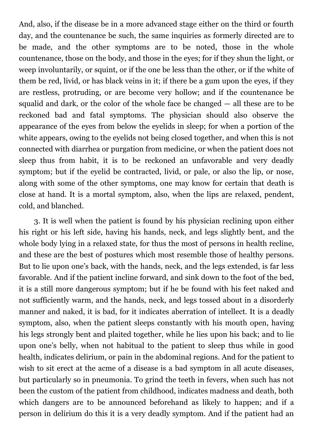And, also, if the disease be in a more advanced stage either on the third or fourth day, and the countenance be such, the same inquiries as formerly directed are to be made, and the other symptoms are to be noted, those in the whole countenance, those on the body, and those in the eyes; for if they shun the light, or weep involuntarily, or squint, or if the one be less than the other, or if the white of them be red, livid, or has black veins in it; if there be a gum upon the eyes, if they are restless, protruding, or are become very hollow; and if the countenance be squalid and dark, or the color of the whole face be changed — all these are to be reckoned bad and fatal symptoms. The physician should also observe the appearance of the eyes from below the eyelids in sleep; for when a portion of the white appears, owing to the eyelids not being closed together, and when this is not connected with diarrhea or purgation from medicine, or when the patient does not sleep thus from habit, it is to be reckoned an unfavorable and very deadly symptom; but if the eyelid be contracted, livid, or pale, or also the lip, or nose, along with some of the other symptoms, one may know for certain that death is close at hand. It is a mortal symptom, also, when the lips are relaxed, pendent, cold, and blanched.

3. It is well when the patient is found by his physician reclining upon either his right or his left side, having his hands, neck, and legs slightly bent, and the whole body lying in a relaxed state, for thus the most of persons in health recline, and these are the best of postures which most resemble those of healthy persons. But to lie upon one's back, with the hands, neck, and the legs extended, is far less favorable. And if the patient incline forward, and sink down to the foot of the bed, it is a still more dangerous symptom; but if he be found with his feet naked and not sufficiently warm, and the hands, neck, and legs tossed about in a disorderly manner and naked, it is bad, for it indicates aberration of intellect. It is a deadly symptom, also, when the patient sleeps constantly with his mouth open, having his legs strongly bent and plaited together, while he lies upon his back; and to lie upon one's belly, when not habitual to the patient to sleep thus while in good health, indicates delirium, or pain in the abdominal regions. And for the patient to wish to sit erect at the acme of a disease is a bad symptom in all acute diseases, but particularly so in pneumonia. To grind the teeth in fevers, when such has not been the custom of the patient from childhood, indicates madness and death, both which dangers are to be announced beforehand as likely to happen; and if a person in delirium do this it is a very deadly symptom. And if the patient had an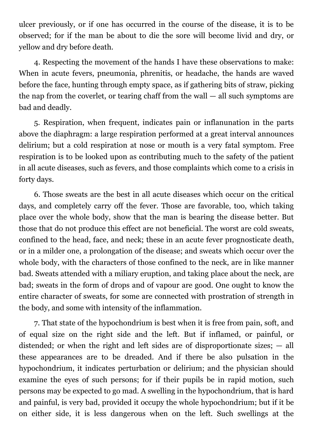ulcer previously, or if one has occurred in the course of the disease, it is to be observed; for if the man be about to die the sore will become livid and dry, or yellow and dry before death.

4. Respecting the movement of the hands I have these observations to make: When in acute fevers, pneumonia, phrenitis, or headache, the hands are waved before the face, hunting through empty space, as if gathering bits of straw, picking the nap from the coverlet, or tearing chaff from the wall — all such symptoms are bad and deadly.

5. Respiration, when frequent, indicates pain or inflanunation in the parts above the diaphragm: a large respiration performed at a great interval announces delirium; but a cold respiration at nose or mouth is a very fatal symptom. Free respiration is to be looked upon as contributing much to the safety of the patient in all acute diseases, such as fevers, and those complaints which come to a crisis in forty days.

6. Those sweats are the best in all acute diseases which occur on the critical days, and completely carry off the fever. Those are favorable, too, which taking place over the whole body, show that the man is bearing the disease better. But those that do not produce this effect are not beneficial. The worst are cold sweats, confined to the head, face, and neck; these in an acute fever prognosticate death, or in a milder one, a prolongation of the disease; and sweats which occur over the whole body, with the characters of those confined to the neck, are in like manner bad. Sweats attended with a miliary eruption, and taking place about the neck, are bad; sweats in the form of drops and of vapour are good. One ought to know the entire character of sweats, for some are connected with prostration of strength in the body, and some with intensity of the inflammation.

7. That state of the hypochondrium is best when it is free from pain, soft, and of equal size on the right side and the left. But if inflamed, or painful, or distended; or when the right and left sides are of disproportionate sizes; — all these appearances are to be dreaded. And if there be also pulsation in the hypochondrium, it indicates perturbation or delirium; and the physician should examine the eyes of such persons; for if their pupils be in rapid motion, such persons may be expected to go mad. A swelling in the hypochondrium, that is hard and painful, is very bad, provided it occupy the whole hypochondrium; but if it be on either side, it is less dangerous when on the left. Such swellings at the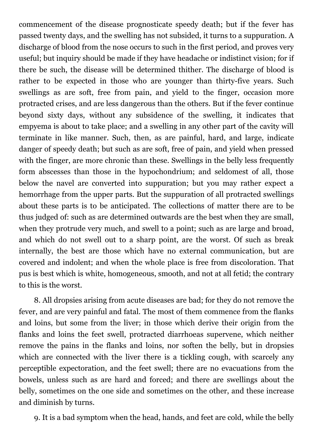commencement of the disease prognosticate speedy death; but if the fever has passed twenty days, and the swelling has not subsided, it turns to a suppuration. A discharge of blood from the nose occurs to such in the first period, and proves very useful; but inquiry should be made if they have headache or indistinct vision; for if there be such, the disease will be determined thither. The discharge of blood is rather to be expected in those who are younger than thirty-five years. Such swellings as are soft, free from pain, and yield to the finger, occasion more protracted crises, and are less dangerous than the others. But if the fever continue beyond sixty days, without any subsidence of the swelling, it indicates that empyema is about to take place; and a swelling in any other part of the cavity will terminate in like manner. Such, then, as are painful, hard, and large, indicate danger of speedy death; but such as are soft, free of pain, and yield when pressed with the finger, are more chronic than these. Swellings in the belly less frequently form abscesses than those in the hypochondrium; and seldomest of all, those below the navel are converted into suppuration; but you may rather expect a hemorrhage from the upper parts. But the suppuration of all protracted swellings about these parts is to be anticipated. The collections of matter there are to be thus judged of: such as are determined outwards are the best when they are small, when they protrude very much, and swell to a point; such as are large and broad, and which do not swell out to a sharp point, are the worst. Of such as break internally, the best are those which have no external communication, but are covered and indolent; and when the whole place is free from discoloration. That pus is best which is white, homogeneous, smooth, and not at all fetid; the contrary to this is the worst.

8. All dropsies arising from acute diseases are bad; for they do not remove the fever, and are very painful and fatal. The most of them commence from the flanks and loins, but some from the liver; in those which derive their origin from the flanks and loins the feet swell, protracted diarrhoeas supervene, which neither remove the pains in the flanks and loins, nor soften the belly, but in dropsies which are connected with the liver there is a tickling cough, with scarcely any perceptible expectoration, and the feet swell; there are no evacuations from the bowels, unless such as are hard and forced; and there are swellings about the belly, sometimes on the one side and sometimes on the other, and these increase and diminish by turns.

9. It is a bad symptom when the head, hands, and feet are cold, while the belly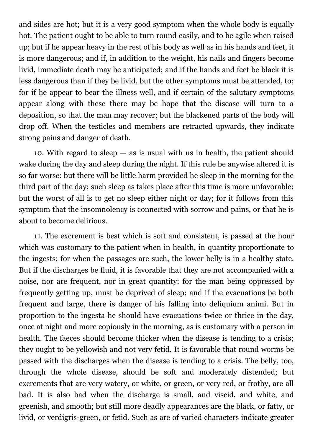and sides are hot; but it is a very good symptom when the whole body is equally hot. The patient ought to be able to turn round easily, and to be agile when raised up; but if he appear heavy in the rest of his body as well as in his hands and feet, it is more dangerous; and if, in addition to the weight, his nails and fingers become livid, immediate death may be anticipated; and if the hands and feet be black it is less dangerous than if they be livid, but the other symptoms must be attended, to; for if he appear to bear the illness well, and if certain of the salutary symptoms appear along with these there may be hope that the disease will turn to a deposition, so that the man may recover; but the blackened parts of the body will drop off. When the testicles and members are retracted upwards, they indicate strong pains and danger of death.

10. With regard to sleep — as is usual with us in health, the patient should wake during the day and sleep during the night. If this rule be anywise altered it is so far worse: but there will be little harm provided he sleep in the morning for the third part of the day; such sleep as takes place after this time is more unfavorable; but the worst of all is to get no sleep either night or day; for it follows from this symptom that the insomnolency is connected with sorrow and pains, or that he is about to become delirious.

11. The excrement is best which is soft and consistent, is passed at the hour which was customary to the patient when in health, in quantity proportionate to the ingests; for when the passages are such, the lower belly is in a healthy state. But if the discharges be fluid, it is favorable that they are not accompanied with a noise, nor are frequent, nor in great quantity; for the man being oppressed by frequently getting up, must be deprived of sleep; and if the evacuations be both frequent and large, there is danger of his falling into deliquium animi. But in proportion to the ingesta he should have evacuations twice or thrice in the day, once at night and more copiously in the morning, as is customary with a person in health. The faeces should become thicker when the disease is tending to a crisis; they ought to be yellowish and not very fetid. It is favorable that round worms be passed with the discharges when the disease is tending to a crisis. The belly, too, through the whole disease, should be soft and moderately distended; but excrements that are very watery, or white, or green, or very red, or frothy, are all bad. It is also bad when the discharge is small, and viscid, and white, and greenish, and smooth; but still more deadly appearances are the black, or fatty, or livid, or verdigris-green, or fetid. Such as are of varied characters indicate greater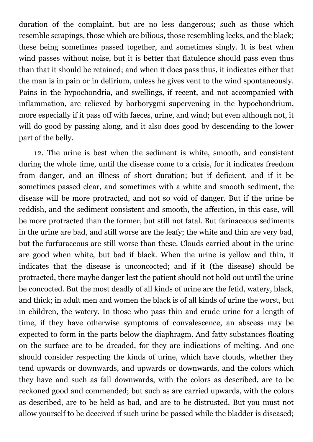duration of the complaint, but are no less dangerous; such as those which resemble scrapings, those which are bilious, those resembling leeks, and the black; these being sometimes passed together, and sometimes singly. It is best when wind passes without noise, but it is better that flatulence should pass even thus than that it should be retained; and when it does pass thus, it indicates either that the man is in pain or in delirium, unless he gives vent to the wind spontaneously. Pains in the hypochondria, and swellings, if recent, and not accompanied with inflammation, are relieved by borborygmi supervening in the hypochondrium, more especially if it pass off with faeces, urine, and wind; but even although not, it will do good by passing along, and it also does good by descending to the lower part of the belly.

12. The urine is best when the sediment is white, smooth, and consistent during the whole time, until the disease come to a crisis, for it indicates freedom from danger, and an illness of short duration; but if deficient, and if it be sometimes passed clear, and sometimes with a white and smooth sediment, the disease will be more protracted, and not so void of danger. But if the urine be reddish, and the sediment consistent and smooth, the affection, in this case, will be more protracted than the former, but still not fatal. But farinaceous sediments in the urine are bad, and still worse are the leafy; the white and thin are very bad, but the furfuraceous are still worse than these. Clouds carried about in the urine are good when white, but bad if black. When the urine is yellow and thin, it indicates that the disease is unconcocted; and if it (the disease) should be protracted, there maybe danger lest the patient should not hold out until the urine be concocted. But the most deadly of all kinds of urine are the fetid, watery, black, and thick; in adult men and women the black is of all kinds of urine the worst, but in children, the watery. In those who pass thin and crude urine for a length of time, if they have otherwise symptoms of convalescence, an abscess may be expected to form in the parts below the diaphragm. And fatty substances floating on the surface are to be dreaded, for they are indications of melting. And one should consider respecting the kinds of urine, which have clouds, whether they tend upwards or downwards, and upwards or downwards, and the colors which they have and such as fall downwards, with the colors as described, are to be reckoned good and commended; but such as are carried upwards, with the colors as described, are to be held as bad, and are to be distrusted. But you must not allow yourself to be deceived if such urine be passed while the bladder is diseased;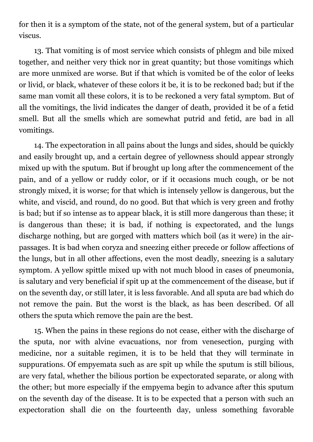for then it is a symptom of the state, not of the general system, but of a particular viscus.

13. That vomiting is of most service which consists of phlegm and bile mixed together, and neither very thick nor in great quantity; but those vomitings which are more unmixed are worse. But if that which is vomited be of the color of leeks or livid, or black, whatever of these colors it be, it is to be reckoned bad; but if the same man vomit all these colors, it is to be reckoned a very fatal symptom. But of all the vomitings, the livid indicates the danger of death, provided it be of a fetid smell. But all the smells which are somewhat putrid and fetid, are bad in all vomitings.

14. The expectoration in all pains about the lungs and sides, should be quickly and easily brought up, and a certain degree of yellowness should appear strongly mixed up with the sputum. But if brought up long after the commencement of the pain, and of a yellow or ruddy color, or if it occasions much cough, or be not strongly mixed, it is worse; for that which is intensely yellow is dangerous, but the white, and viscid, and round, do no good. But that which is very green and frothy is bad; but if so intense as to appear black, it is still more dangerous than these; it is dangerous than these; it is bad, if nothing is expectorated, and the lungs discharge nothing, but are gorged with matters which boil (as it were) in the airpassages. It is bad when coryza and sneezing either precede or follow affections of the lungs, but in all other affections, even the most deadly, sneezing is a salutary symptom. A yellow spittle mixed up with not much blood in cases of pneumonia, is salutary and very beneficial if spit up at the commencement of the disease, but if on the seventh day, or still later, it is less favorable. And all sputa are bad which do not remove the pain. But the worst is the black, as has been described. Of all others the sputa which remove the pain are the best.

15. When the pains in these regions do not cease, either with the discharge of the sputa, nor with alvine evacuations, nor from venesection, purging with medicine, nor a suitable regimen, it is to be held that they will terminate in suppurations. Of empyemata such as are spit up while the sputum is still bilious, are very fatal, whether the bilious portion be expectorated separate, or along with the other; but more especially if the empyema begin to advance after this sputum on the seventh day of the disease. It is to be expected that a person with such an expectoration shall die on the fourteenth day, unless something favorable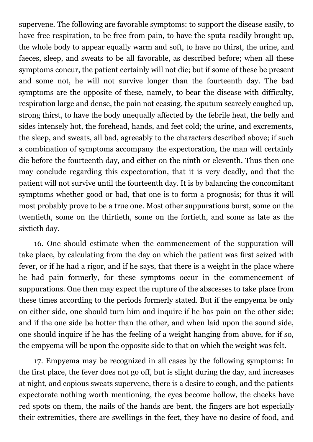supervene. The following are favorable symptoms: to support the disease easily, to have free respiration, to be free from pain, to have the sputa readily brought up, the whole body to appear equally warm and soft, to have no thirst, the urine, and faeces, sleep, and sweats to be all favorable, as described before; when all these symptoms concur, the patient certainly will not die; but if some of these be present and some not, he will not survive longer than the fourteenth day. The bad symptoms are the opposite of these, namely, to bear the disease with difficulty, respiration large and dense, the pain not ceasing, the sputum scarcely coughed up, strong thirst, to have the body unequally affected by the febrile heat, the belly and sides intensely hot, the forehead, hands, and feet cold; the urine, and excrements, the sleep, and sweats, all bad, agreeably to the characters described above; if such a combination of symptoms accompany the expectoration, the man will certainly die before the fourteenth day, and either on the ninth or eleventh. Thus then one may conclude regarding this expectoration, that it is very deadly, and that the patient will not survive until the fourteenth day. It is by balancing the concomitant symptoms whether good or bad, that one is to form a prognosis; for thus it will most probably prove to be a true one. Most other suppurations burst, some on the twentieth, some on the thirtieth, some on the fortieth, and some as late as the sixtieth day.

16. One should estimate when the commencement of the suppuration will take place, by calculating from the day on which the patient was first seized with fever, or if he had a rigor, and if he says, that there is a weight in the place where he had pain formerly, for these symptoms occur in the commencement of suppurations. One then may expect the rupture of the abscesses to take place from these times according to the periods formerly stated. But if the empyema be only on either side, one should turn him and inquire if he has pain on the other side; and if the one side be hotter than the other, and when laid upon the sound side, one should inquire if he has the feeling of a weight hanging from above, for if so, the empyema will be upon the opposite side to that on which the weight was felt.

17. Empyema may be recognized in all cases by the following symptoms: In the first place, the fever does not go off, but is slight during the day, and increases at night, and copious sweats supervene, there is a desire to cough, and the patients expectorate nothing worth mentioning, the eyes become hollow, the cheeks have red spots on them, the nails of the hands are bent, the fingers are hot especially their extremities, there are swellings in the feet, they have no desire of food, and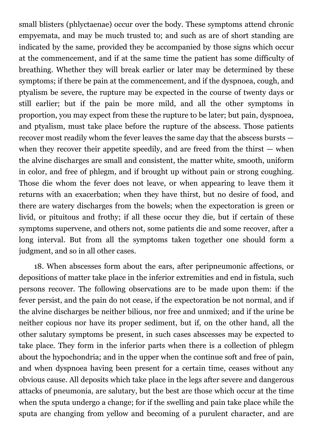small blisters (phlyctaenae) occur over the body. These symptoms attend chronic empyemata, and may be much trusted to; and such as are of short standing are indicated by the same, provided they be accompanied by those signs which occur at the commencement, and if at the same time the patient has some difficulty of breathing. Whether they will break earlier or later may be determined by these symptoms; if there be pain at the commencement, and if the dyspnoea, cough, and ptyalism be severe, the rupture may be expected in the course of twenty days or still earlier; but if the pain be more mild, and all the other symptoms in proportion, you may expect from these the rupture to be later; but pain, dyspnoea, and ptyalism, must take place before the rupture of the abscess. Those patients recover most readily whom the fever leaves the same day that the abscess bursts when they recover their appetite speedily, and are freed from the thirst  $-$  when the alvine discharges are small and consistent, the matter white, smooth, uniform in color, and free of phlegm, and if brought up without pain or strong coughing. Those die whom the fever does not leave, or when appearing to leave them it returns with an exacerbation; when they have thirst, but no desire of food, and there are watery discharges from the bowels; when the expectoration is green or livid, or pituitous and frothy; if all these occur they die, but if certain of these symptoms supervene, and others not, some patients die and some recover, after a long interval. But from all the symptoms taken together one should form a judgment, and so in all other cases.

18. When abscesses form about the ears, after peripneumonic affections, or depositions of matter take place in the inferior extremities and end in fistula, such persons recover. The following observations are to be made upon them: if the fever persist, and the pain do not cease, if the expectoration be not normal, and if the alvine discharges be neither bilious, nor free and unmixed; and if the urine be neither copious nor have its proper sediment, but if, on the other hand, all the other salutary symptoms be present, in such cases abscesses may be expected to take place. They form in the inferior parts when there is a collection of phlegm about the hypochondria; and in the upper when the continue soft and free of pain, and when dyspnoea having been present for a certain time, ceases without any obvious cause. All deposits which take place in the legs after severe and dangerous attacks of pneumonia, are salutary, but the best are those which occur at the time when the sputa undergo a change; for if the swelling and pain take place while the sputa are changing from yellow and becoming of a purulent character, and are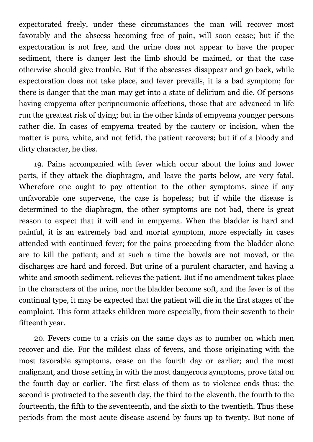expectorated freely, under these circumstances the man will recover most favorably and the abscess becoming free of pain, will soon cease; but if the expectoration is not free, and the urine does not appear to have the proper sediment, there is danger lest the limb should be maimed, or that the case otherwise should give trouble. But if the abscesses disappear and go back, while expectoration does not take place, and fever prevails, it is a bad symptom; for there is danger that the man may get into a state of delirium and die. Of persons having empyema after peripneumonic affections, those that are advanced in life run the greatest risk of dying; but in the other kinds of empyema younger persons rather die. In cases of empyema treated by the cautery or incision, when the matter is pure, white, and not fetid, the patient recovers; but if of a bloody and dirty character, he dies.

19. Pains accompanied with fever which occur about the loins and lower parts, if they attack the diaphragm, and leave the parts below, are very fatal. Wherefore one ought to pay attention to the other symptoms, since if any unfavorable one supervene, the case is hopeless; but if while the disease is determined to the diaphragm, the other symptoms are not bad, there is great reason to expect that it will end in empyema. When the bladder is hard and painful, it is an extremely bad and mortal symptom, more especially in cases attended with continued fever; for the pains proceeding from the bladder alone are to kill the patient; and at such a time the bowels are not moved, or the discharges are hard and forced. But urine of a purulent character, and having a white and smooth sediment, relieves the patient. But if no amendment takes place in the characters of the urine, nor the bladder become soft, and the fever is of the continual type, it may be expected that the patient will die in the first stages of the complaint. This form attacks children more especially, from their seventh to their fifteenth year.

20. Fevers come to a crisis on the same days as to number on which men recover and die. For the mildest class of fevers, and those originating with the most favorable symptoms, cease on the fourth day or earlier; and the most malignant, and those setting in with the most dangerous symptoms, prove fatal on the fourth day or earlier. The first class of them as to violence ends thus: the second is protracted to the seventh day, the third to the eleventh, the fourth to the fourteenth, the fifth to the seventeenth, and the sixth to the twentieth. Thus these periods from the most acute disease ascend by fours up to twenty. But none of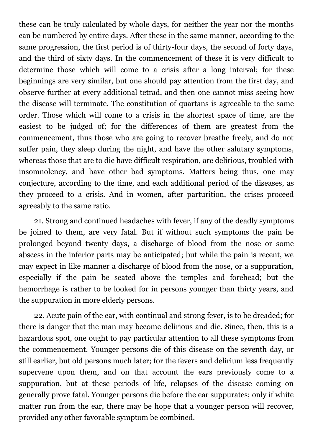these can be truly calculated by whole days, for neither the year nor the months can be numbered by entire days. After these in the same manner, according to the same progression, the first period is of thirty-four days, the second of forty days, and the third of sixty days. In the commencement of these it is very difficult to determine those which will come to a crisis after a long interval; for these beginnings are very similar, but one should pay attention from the first day, and observe further at every additional tetrad, and then one cannot miss seeing how the disease will terminate. The constitution of quartans is agreeable to the same order. Those which will come to a crisis in the shortest space of time, are the easiest to be judged of; for the differences of them are greatest from the commencement, thus those who are going to recover breathe freely, and do not suffer pain, they sleep during the night, and have the other salutary symptoms, whereas those that are to die have difficult respiration, are delirious, troubled with insomnolency, and have other bad symptoms. Matters being thus, one may conjecture, according to the time, and each additional period of the diseases, as they proceed to a crisis. And in women, after parturition, the crises proceed agreeably to the same ratio.

21. Strong and continued headaches with fever, if any of the deadly symptoms be joined to them, are very fatal. But if without such symptoms the pain be prolonged beyond twenty days, a discharge of blood from the nose or some abscess in the inferior parts may be anticipated; but while the pain is recent, we may expect in like manner a discharge of blood from the nose, or a suppuration, especially if the pain be seated above the temples and forehead; but the hemorrhage is rather to be looked for in persons younger than thirty years, and the suppuration in more elderly persons.

22. Acute pain of the ear, with continual and strong fever, is to be dreaded; for there is danger that the man may become delirious and die. Since, then, this is a hazardous spot, one ought to pay particular attention to all these symptoms from the commencement. Younger persons die of this disease on the seventh day, or still earlier, but old persons much later; for the fevers and delirium less frequently supervene upon them, and on that account the ears previously come to a suppuration, but at these periods of life, relapses of the disease coming on generally prove fatal. Younger persons die before the ear suppurates; only if white matter run from the ear, there may be hope that a younger person will recover, provided any other favorable symptom be combined.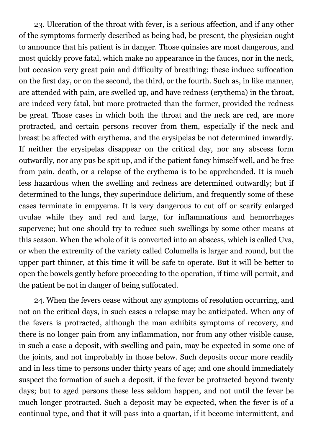23. Ulceration of the throat with fever, is a serious affection, and if any other of the symptoms formerly described as being bad, be present, the physician ought to announce that his patient is in danger. Those quinsies are most dangerous, and most quickly prove fatal, which make no appearance in the fauces, nor in the neck, but occasion very great pain and difficulty of breathing; these induce suffocation on the first day, or on the second, the third, or the fourth. Such as, in like manner, are attended with pain, are swelled up, and have redness (erythema) in the throat, are indeed very fatal, but more protracted than the former, provided the redness be great. Those cases in which both the throat and the neck are red, are more protracted, and certain persons recover from them, especially if the neck and breast be affected with erythema, and the erysipelas be not determined inwardly. If neither the erysipelas disappear on the critical day, nor any abscess form outwardly, nor any pus be spit up, and if the patient fancy himself well, and be free from pain, death, or a relapse of the erythema is to be apprehended. It is much less hazardous when the swelling and redness are determined outwardly; but if determined to the lungs, they superinduce delirium, and frequently some of these cases terminate in empyema. It is very dangerous to cut off or scarify enlarged uvulae while they and red and large, for inflammations and hemorrhages supervene; but one should try to reduce such swellings by some other means at this season. When the whole of it is converted into an abscess, which is called Uva, or when the extremity of the variety called Columella is larger and round, but the upper part thinner, at this time it will be safe to operate. But it will be better to open the bowels gently before proceeding to the operation, if time will permit, and the patient be not in danger of being suffocated.

24. When the fevers cease without any symptoms of resolution occurring, and not on the critical days, in such cases a relapse may be anticipated. When any of the fevers is protracted, although the man exhibits symptoms of recovery, and there is no longer pain from any inflammation, nor from any other visible cause, in such a case a deposit, with swelling and pain, may be expected in some one of the joints, and not improbably in those below. Such deposits occur more readily and in less time to persons under thirty years of age; and one should immediately suspect the formation of such a deposit, if the fever be protracted beyond twenty days; but to aged persons these less seldom happen, and not until the fever be much longer protracted. Such a deposit may be expected, when the fever is of a continual type, and that it will pass into a quartan, if it become intermittent, and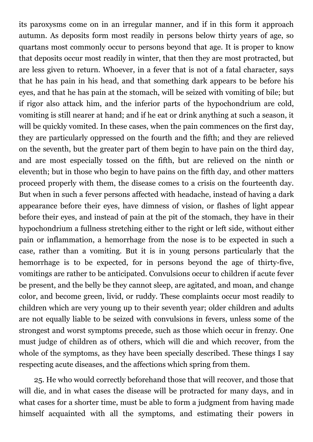its paroxysms come on in an irregular manner, and if in this form it approach autumn. As deposits form most readily in persons below thirty years of age, so quartans most commonly occur to persons beyond that age. It is proper to know that deposits occur most readily in winter, that then they are most protracted, but are less given to return. Whoever, in a fever that is not of a fatal character, says that he has pain in his head, and that something dark appears to be before his eyes, and that he has pain at the stomach, will be seized with vomiting of bile; but if rigor also attack him, and the inferior parts of the hypochondrium are cold, vomiting is still nearer at hand; and if he eat or drink anything at such a season, it will be quickly vomited. In these cases, when the pain commences on the first day, they are particularly oppressed on the fourth and the fifth; and they are relieved on the seventh, but the greater part of them begin to have pain on the third day, and are most especially tossed on the fifth, but are relieved on the ninth or eleventh; but in those who begin to have pains on the fifth day, and other matters proceed properly with them, the disease comes to a crisis on the fourteenth day. But when in such a fever persons affected with headache, instead of having a dark appearance before their eyes, have dimness of vision, or flashes of light appear before their eyes, and instead of pain at the pit of the stomach, they have in their hypochondrium a fullness stretching either to the right or left side, without either pain or inflammation, a hemorrhage from the nose is to be expected in such a case, rather than a vomiting. But it is in young persons particularly that the hemorrhage is to be expected, for in persons beyond the age of thirty-five, vomitings are rather to be anticipated. Convulsions occur to children if acute fever be present, and the belly be they cannot sleep, are agitated, and moan, and change color, and become green, livid, or ruddy. These complaints occur most readily to children which are very young up to their seventh year; older children and adults are not equally liable to be seized with convulsions in fevers, unless some of the strongest and worst symptoms precede, such as those which occur in frenzy. One must judge of children as of others, which will die and which recover, from the whole of the symptoms, as they have been specially described. These things I say respecting acute diseases, and the affections which spring from them.

25. He who would correctly beforehand those that will recover, and those that will die, and in what cases the disease will be protracted for many days, and in what cases for a shorter time, must be able to form a judgment from having made himself acquainted with all the symptoms, and estimating their powers in